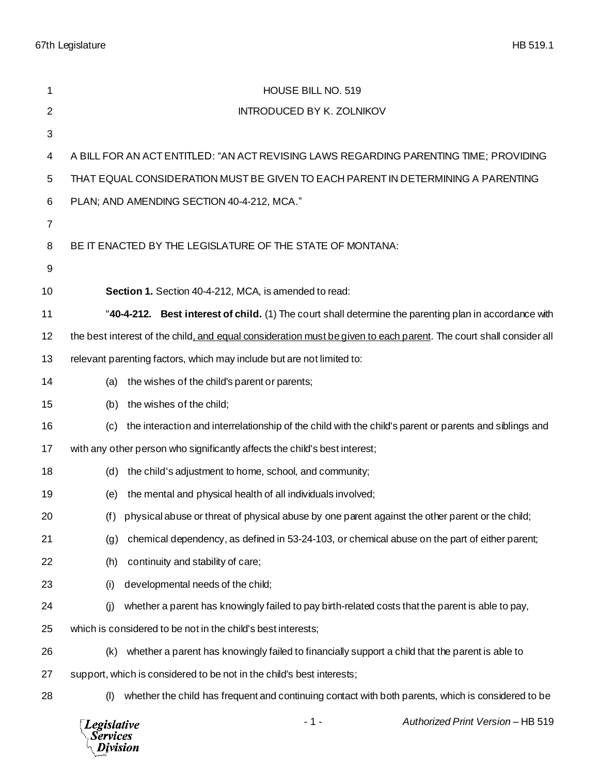67th Legislature HB 519.1

| 1              | HOUSE BILL NO. 519                                                                                                 |
|----------------|--------------------------------------------------------------------------------------------------------------------|
| 2              | <b>INTRODUCED BY K. ZOLNIKOV</b>                                                                                   |
| $\sqrt{3}$     |                                                                                                                    |
| 4              | A BILL FOR AN ACT ENTITLED: "AN ACT REVISING LAWS REGARDING PARENTING TIME; PROVIDING                              |
| 5              | THAT EQUAL CONSIDERATION MUST BE GIVEN TO EACH PARENT IN DETERMINING A PARENTING                                   |
| 6              | PLAN; AND AMENDING SECTION 40-4-212, MCA."                                                                         |
| $\overline{7}$ |                                                                                                                    |
| 8              | BE IT ENACTED BY THE LEGISLATURE OF THE STATE OF MONTANA:                                                          |
| 9              |                                                                                                                    |
| 10             | Section 1. Section 40-4-212, MCA, is amended to read:                                                              |
| 11             | "40-4-212. Best interest of child. (1) The court shall determine the parenting plan in accordance with             |
| 12             | the best interest of the child, and equal consideration must be given to each parent. The court shall consider all |
| 13             | relevant parenting factors, which may include but are not limited to:                                              |
| 14             | the wishes of the child's parent or parents;<br>(a)                                                                |
| 15             | the wishes of the child;<br>(b)                                                                                    |
| 16             | the interaction and interrelationship of the child with the child's parent or parents and siblings and<br>(c)      |
| 17             | with any other person who significantly affects the child's best interest;                                         |
| 18             | the child's adjustment to home, school, and community;<br>(d)                                                      |
| 19             | the mental and physical health of all individuals involved;<br>(e)                                                 |
| 20             | (f) physical abuse or threat of physical abuse by one parent against the other parent or the child;                |
| 21             | chemical dependency, as defined in 53-24-103, or chemical abuse on the part of either parent;<br>(g)               |
| 22             | continuity and stability of care;<br>(h)                                                                           |
| 23             | developmental needs of the child;<br>(i)                                                                           |
| 24             | (i)<br>whether a parent has knowingly failed to pay birth-related costs that the parent is able to pay,            |
| 25             | which is considered to be not in the child's best interests;                                                       |
| 26             | whether a parent has knowingly failed to financially support a child that the parent is able to<br>(k)             |
| 27             | support, which is considered to be not in the child's best interests;                                              |
| 28             | whether the child has frequent and continuing contact with both parents, which is considered to be<br>(1)          |
|                | Authorized Print Version - HB 519<br>$-1-$<br>Legislative<br>Services<br>Division                                  |